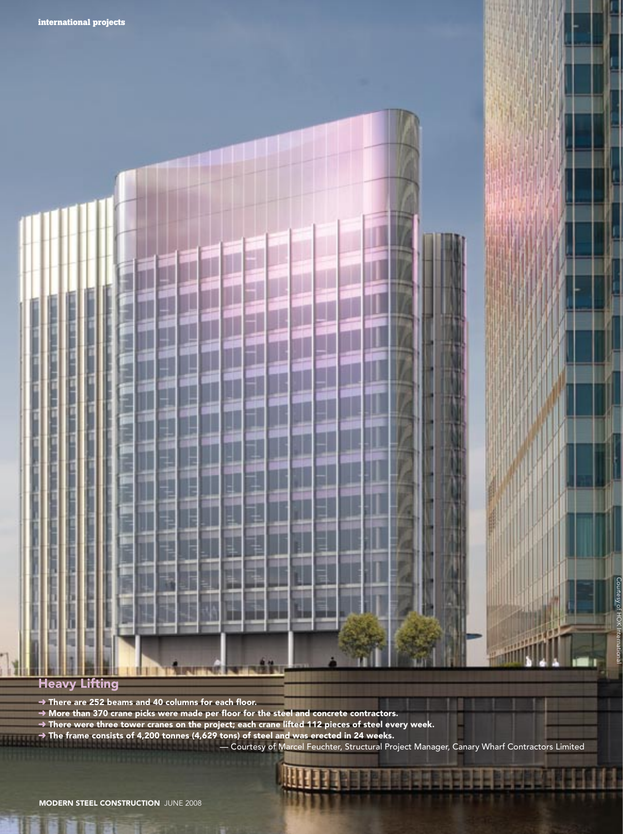# F ा п

#### Heavy Lifting

 $\rightarrow$  There are 252 beams and 40 columns for each floor.

- $\rightarrow$  More than 370 crane picks were made per floor for the steel and concrete contractors.
- $\rightarrow$  There were three tower cranes on the project; each crane lifted 112 pieces of steel every week.
- ➜ The frame consists of 4,200 tonnes (4,629 tons) of steel and was erected in 24 weeks.

— Courtesy of Marcel Feuchter, Structural Project Manager, Canary Wharf Contractors Limited

Courtesy of HOK International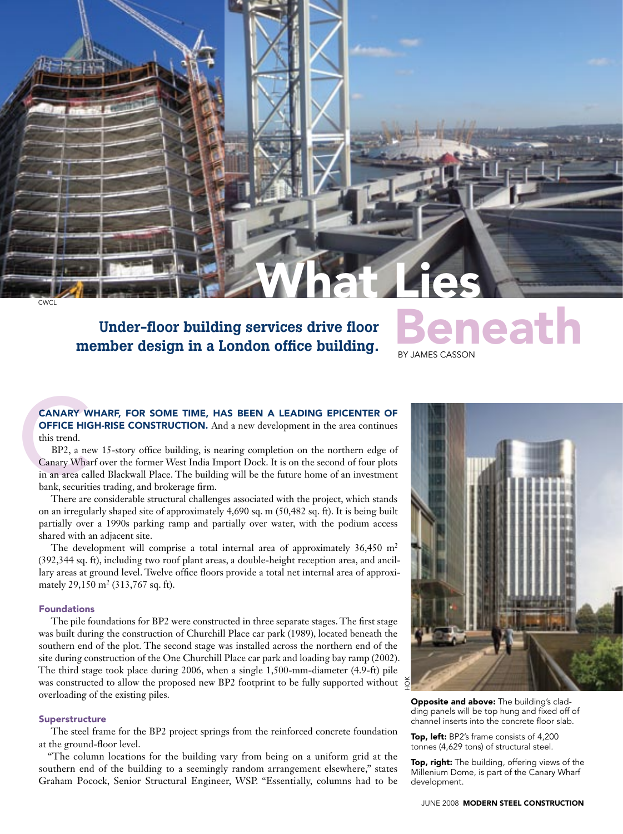CWCL

### member design in a London office building. Under-floor building services drive floor Beneath

## By James Casson What Lies

#### Canary Wharf, for some time, has been a leading epicenter of **OFFICE HIGH-RISE CONSTRUCTION.** And a new development in the area continues this trend.

**CANARY W<br>
OFFICE HIG**<br>
this trend.<br>
BP2, a ne<br>
Canary Whai<br>
in an area cal<br>
bank, securiti BP2, a new 15-story office building, is nearing completion on the northern edge of Canary Wharf over the former West India Import Dock. It is on the second of four plots in an area called Blackwall Place. The building will be the future home of an investment bank, securities trading, and brokerage firm.

There are considerable structural challenges associated with the project, which stands on an irregularly shaped site of approximately 4,690 sq. m (50,482 sq. ft). It is being built partially over a 1990s parking ramp and partially over water, with the podium access shared with an adjacent site.

The development will comprise a total internal area of approximately  $36,450 \text{ m}^2$ (392,344 sq. ft), including two roof plant areas, a double-height reception area, and ancillary areas at ground level. Twelve office floors provide a total net internal area of approximately 29,150 m<sup>2</sup> (313,767 sq. ft).

#### Foundations

The pile foundations for BP2 were constructed in three separate stages. The first stage was built during the construction of Churchill Place car park (1989), located beneath the southern end of the plot. The second stage was installed across the northern end of the site during construction of the One Churchill Place car park and loading bay ramp (2002). The third stage took place during 2006, when a single 1,500-mm-diameter (4.9-ft) pile was constructed to allow the proposed new BP2 footprint to be fully supported without overloading of the existing piles.

#### Superstructure

The steel frame for the BP2 project springs from the reinforced concrete foundation at the ground-floor level.

"The column locations for the building vary from being on a uniform grid at the southern end of the building to a seemingly random arrangement elsewhere," states Graham Pocock, Senior Structural Engineer, WSP. "Essentially, columns had to be



Opposite and above: The building's cladding panels will be top hung and fixed off of channel inserts into the concrete floor slab.

Top, left: BP2's frame consists of 4,200 tonnes (4,629 tons) of structural steel.

Top, right: The building, offering views of the Millenium Dome, is part of the Canary Wharf development.